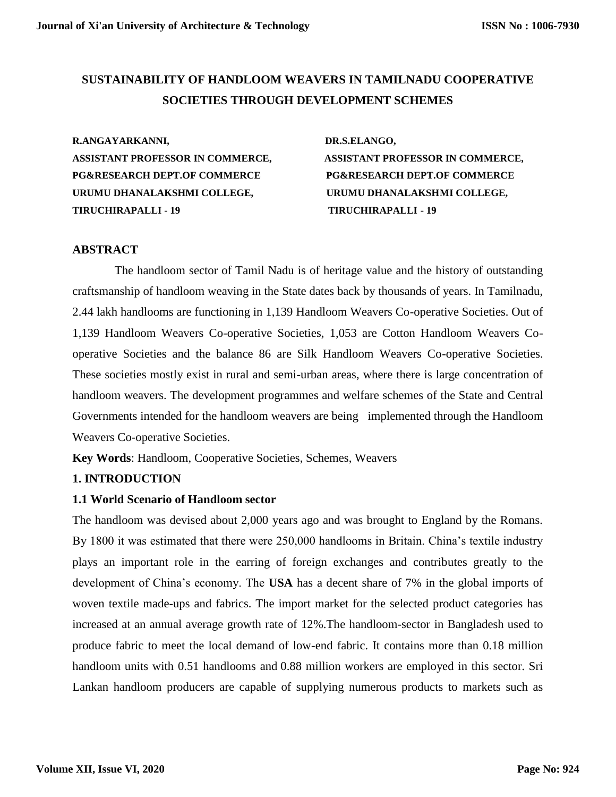# **SUSTAINABILITY OF HANDLOOM WEAVERS IN TAMILNADU COOPERATIVE SOCIETIES THROUGH DEVELOPMENT SCHEMES**

**R.ANGAYARKANNI, DR.S.ELANGO, ASSISTANT PROFESSOR IN COMMERCE, ASSISTANT PROFESSOR IN COMMERCE, PG&RESEARCH DEPT.OF COMMERCE PG&RESEARCH DEPT.OF COMMERCE URUMU DHANALAKSHMI COLLEGE, URUMU DHANALAKSHMI COLLEGE, TIRUCHIRAPALLI - 19 TIRUCHIRAPALLI - 19** 

## **ABSTRACT**

 The handloom sector of Tamil Nadu is of heritage value and the history of outstanding craftsmanship of handloom weaving in the State dates back by thousands of years. In Tamilnadu, 2.44 lakh handlooms are functioning in 1,139 Handloom Weavers Co-operative Societies. Out of 1,139 Handloom Weavers Co-operative Societies, 1,053 are Cotton Handloom Weavers Cooperative Societies and the balance 86 are Silk Handloom Weavers Co-operative Societies. These societies mostly exist in rural and semi-urban areas, where there is large concentration of handloom weavers. The development programmes and welfare schemes of the State and Central Governments intended for the handloom weavers are being implemented through the Handloom Weavers Co-operative Societies.

**Key Words**: Handloom, Cooperative Societies, Schemes, Weavers

## **1. INTRODUCTION**

#### **1.1 World Scenario of Handloom sector**

The handloom was devised about 2,000 years ago and was brought to England by the Romans. By 1800 it was estimated that there were 250,000 handlooms in Britain. China's textile industry plays an important role in the earring of foreign exchanges and contributes greatly to the development of China's economy. The **USA** has a decent share of 7% in the global imports of woven textile made-ups and fabrics. The import market for the selected product categories has increased at an annual average growth rate of 12%.The handloom-sector in Bangladesh used to produce fabric to meet the local demand of low-end fabric. It contains more than 0.18 million handloom units with 0.51 handlooms and 0.88 million workers are employed in this sector. Sri Lankan handloom producers are capable of supplying numerous products to markets such as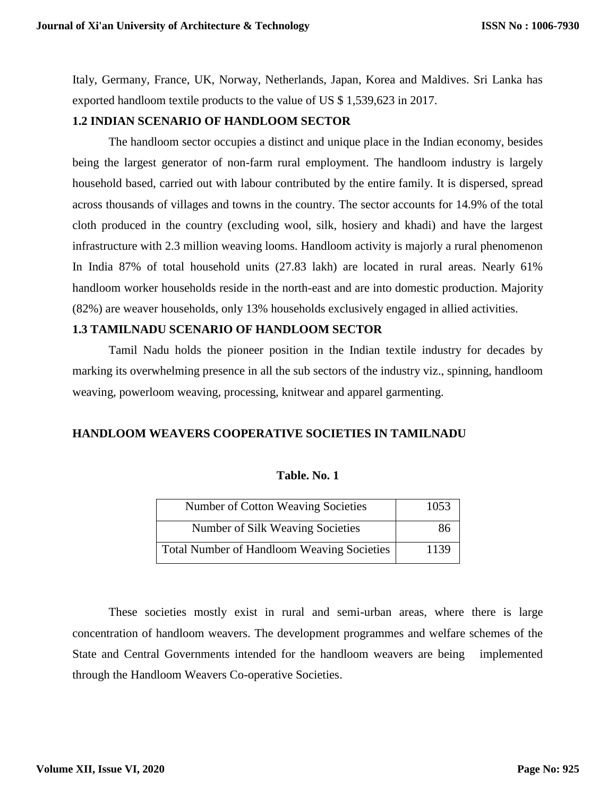Italy, Germany, France, UK, Norway, Netherlands, Japan, Korea and Maldives. Sri Lanka has exported handloom textile products to the value of US \$ 1,539,623 in 2017.

### **1.2 INDIAN SCENARIO OF HANDLOOM SECTOR**

The handloom sector occupies a distinct and unique place in the Indian economy, besides being the largest generator of non-farm rural employment. The handloom industry is largely household based, carried out with labour contributed by the entire family. It is dispersed, spread across thousands of villages and towns in the country. The sector accounts for 14.9% of the total cloth produced in the country (excluding wool, silk, hosiery and khadi) and have the largest infrastructure with 2.3 million weaving looms. Handloom activity is majorly a rural phenomenon In India 87% of total household units (27.83 lakh) are located in rural areas. Nearly 61% handloom worker households reside in the north-east and are into domestic production. Majority (82%) are weaver households, only 13% households exclusively engaged in allied activities.

### **1.3 TAMILNADU SCENARIO OF HANDLOOM SECTOR**

Tamil Nadu holds the pioneer position in the Indian textile industry for decades by marking its overwhelming presence in all the sub sectors of the industry viz., spinning, handloom weaving, powerloom weaving, processing, knitwear and apparel garmenting.

#### **HANDLOOM WEAVERS COOPERATIVE SOCIETIES IN TAMILNADU**

| Number of Cotton Weaving Societies                | 1053 |
|---------------------------------------------------|------|
| Number of Silk Weaving Societies                  | 86   |
| <b>Total Number of Handloom Weaving Societies</b> | 1139 |

#### **Table. No. 1**

These societies mostly exist in rural and semi-urban areas, where there is large concentration of handloom weavers. The development programmes and welfare schemes of the State and Central Governments intended for the handloom weavers are being implemented through the Handloom Weavers Co-operative Societies.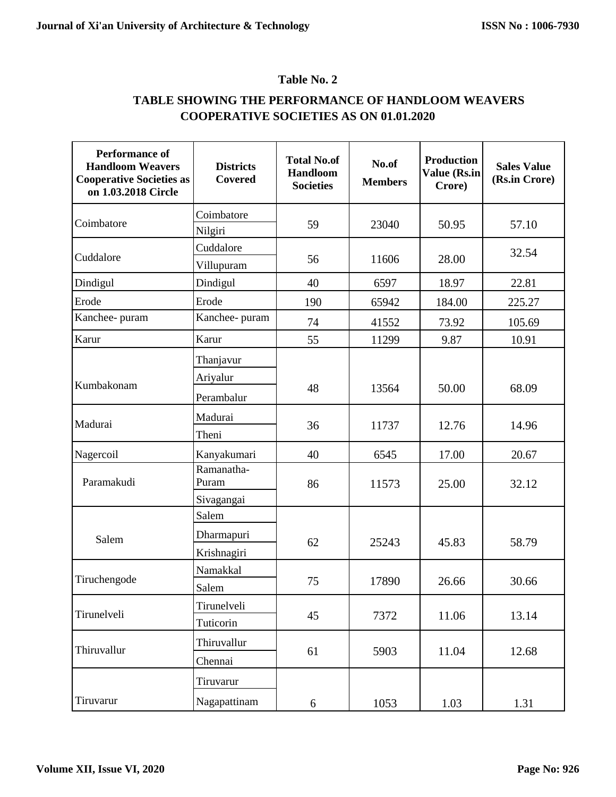# **Table No. 2**

# **TABLE SHOWING THE PERFORMANCE OF HANDLOOM WEAVERS COOPERATIVE SOCIETIES AS ON 01.01.2020**

| <b>Performance of</b><br><b>Handloom Weavers</b><br><b>Cooperative Societies as</b><br>on 1.03.2018 Circle | <b>Districts</b><br>Covered         | <b>Total No.of</b><br><b>Handloom</b><br><b>Societies</b> | No.of<br><b>Members</b> | <b>Production</b><br><b>Value (Rs.in</b><br>Crore) | <b>Sales Value</b><br>(Rs.in Crore) |
|------------------------------------------------------------------------------------------------------------|-------------------------------------|-----------------------------------------------------------|-------------------------|----------------------------------------------------|-------------------------------------|
| Coimbatore                                                                                                 | Coimbatore                          | 59                                                        | 23040                   | 50.95                                              | 57.10                               |
|                                                                                                            | Nilgiri                             |                                                           |                         |                                                    |                                     |
| Cuddalore                                                                                                  | Cuddalore<br>Villupuram             | 56                                                        | 11606                   | 28.00                                              | 32.54                               |
| Dindigul                                                                                                   | Dindigul                            | 40                                                        | 6597                    | 18.97                                              | 22.81                               |
| Erode                                                                                                      | Erode                               | 190                                                       | 65942                   | 184.00                                             | 225.27                              |
| Kanchee- puram                                                                                             | Kanchee- puram                      | 74                                                        | 41552                   | 73.92                                              | 105.69                              |
| Karur                                                                                                      | Karur                               | 55                                                        | 11299                   | 9.87                                               | 10.91                               |
| Kumbakonam                                                                                                 | Thanjavur<br>Ariyalur<br>Perambalur | 48                                                        | 13564                   | 50.00                                              | 68.09                               |
| Madurai                                                                                                    | Madurai<br>Theni                    | 36                                                        | 11737                   | 12.76                                              | 14.96                               |
| Nagercoil                                                                                                  | Kanyakumari                         | 40                                                        | 6545                    | 17.00                                              | 20.67                               |
| Paramakudi                                                                                                 | Ramanatha-<br>Puram                 | 86                                                        | 11573                   | 25.00                                              | 32.12                               |
| Salem                                                                                                      | Sivagangai<br>Salem<br>Dharmapuri   | 62                                                        | 25243                   | 45.83                                              | 58.79                               |
| Tiruchengode                                                                                               | Krishnagiri<br>Namakkal<br>Salem    | 75                                                        | 17890                   | 26.66                                              | 30.66                               |
| Tirunelveli                                                                                                | Tirunelveli<br>Tuticorin            | 45                                                        | 7372                    | 11.06                                              | 13.14                               |
| Thiruvallur                                                                                                | Thiruvallur<br>Chennai              | 61                                                        | 5903                    | 11.04                                              | 12.68                               |
| Tiruvarur                                                                                                  | Tiruvarur<br>Nagapattinam           | 6                                                         | 1053                    | 1.03                                               | 1.31                                |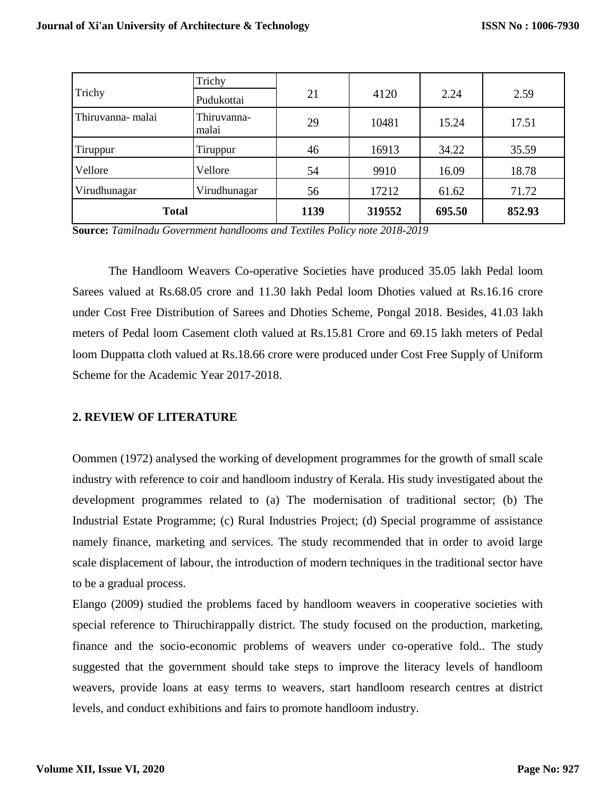|                  | Trichy               |      |        |        |        |
|------------------|----------------------|------|--------|--------|--------|
| Trichy           | Pudukottai           | 21   | 4120   | 2.24   | 2.59   |
| Thiruvanna-malai | Thiruvanna-<br>malai | 29   | 10481  | 15.24  | 17.51  |
| Tiruppur         | Tiruppur             | 46   | 16913  | 34.22  | 35.59  |
| Vellore          | Vellore              | 54   | 9910   | 16.09  | 18.78  |
| Virudhunagar     | Virudhunagar         | 56   | 17212  | 61.62  | 71.72  |
| <b>Total</b>     |                      | 1139 | 319552 | 695.50 | 852.93 |

**Source:** *Tamilnadu Government handlooms and Textiles Policy note 2018-2019*

The Handloom Weavers Co-operative Societies have produced 35.05 lakh Pedal loom Sarees valued at Rs.68.05 crore and 11.30 lakh Pedal loom Dhoties valued at Rs.16.16 crore under Cost Free Distribution of Sarees and Dhoties Scheme, Pongal 2018. Besides, 41.03 lakh meters of Pedal loom Casement cloth valued at Rs.15.81 Crore and 69.15 lakh meters of Pedal loom Duppatta cloth valued at Rs.18.66 crore were produced under Cost Free Supply of Uniform Scheme for the Academic Year 2017-2018.

## **2. REVIEW OF LITERATURE**

Oommen (1972) analysed the working of development programmes for the growth of small scale industry with reference to coir and handloom industry of Kerala. His study investigated about the development programmes related to (a) The modernisation of traditional sector; (b) The Industrial Estate Programme; (c) Rural Industries Project; (d) Special programme of assistance namely finance, marketing and services. The study recommended that in order to avoid large scale displacement of labour, the introduction of modern techniques in the traditional sector have to be a gradual process.

Elango (2009) studied the problems faced by handloom weavers in cooperative societies with special reference to Thiruchirappally district. The study focused on the production, marketing, finance and the socio-economic problems of weavers under co-operative fold.. The study suggested that the government should take steps to improve the literacy levels of handloom weavers, provide loans at easy terms to weavers, start handloom research centres at district levels, and conduct exhibitions and fairs to promote handloom industry.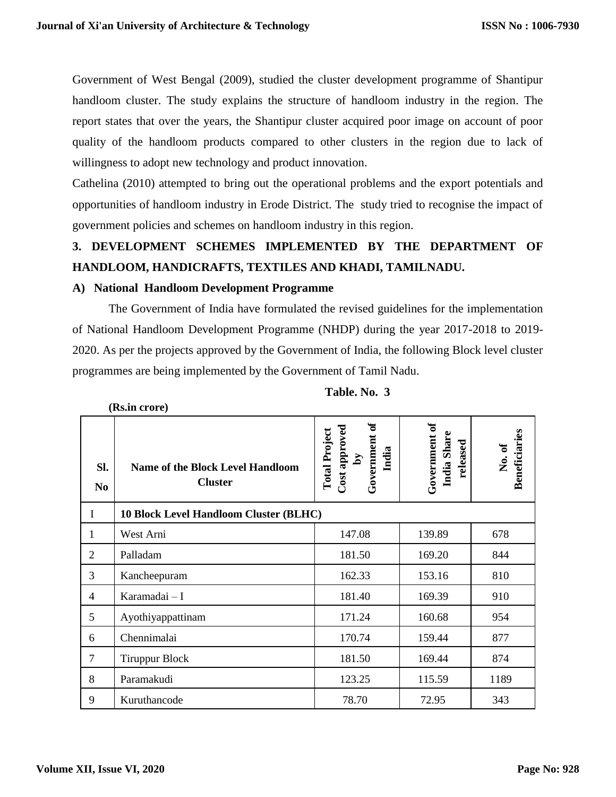Government of West Bengal (2009), studied the cluster development programme of Shantipur handloom cluster. The study explains the structure of handloom industry in the region. The report states that over the years, the Shantipur cluster acquired poor image on account of poor quality of the handloom products compared to other clusters in the region due to lack of willingness to adopt new technology and product innovation.

Cathelina (2010) attempted to bring out the operational problems and the export potentials and opportunities of handloom industry in Erode District. The study tried to recognise the impact of government policies and schemes on handloom industry in this region.

# **3. DEVELOPMENT SCHEMES IMPLEMENTED BY THE DEPARTMENT OF HANDLOOM, HANDICRAFTS, TEXTILES AND KHADI, TAMILNADU.**

## **A) National Handloom Development Programme**

**(Rs.in crore)**

The Government of India have formulated the revised guidelines for the implementation of National Handloom Development Programme (NHDP) during the year 2017-2018 to 2019- 2020. As per the projects approved by the Government of India, the following Block level cluster programmes are being implemented by the Government of Tamil Nadu.

| SI.<br>N <sub>o</sub> | <b>Name of the Block Level Handloom</b><br><b>Cluster</b> | Government of<br>Cost approved<br><b>Total Project</b><br>India<br>$\mathbf{\hat{A}}$ | Government of<br>India Share<br>released | <b>Beneficiaries</b><br>No.of |
|-----------------------|-----------------------------------------------------------|---------------------------------------------------------------------------------------|------------------------------------------|-------------------------------|
| $\mathbf I$           | 10 Block Level Handloom Cluster (BLHC)                    |                                                                                       |                                          |                               |
| 1                     | West Arni                                                 | 147.08                                                                                | 139.89                                   | 678                           |
| $\overline{2}$        | Palladam                                                  | 181.50                                                                                | 169.20                                   | 844                           |
| 3                     | Kancheepuram                                              | 162.33                                                                                | 153.16                                   | 810                           |
| 4                     | Karamadai - I                                             | 181.40                                                                                | 169.39                                   | 910                           |
| 5                     | Ayothiyappattinam                                         | 171.24                                                                                | 160.68                                   | 954                           |
| 6                     | Chennimalai                                               | 170.74                                                                                | 159.44                                   | 877                           |
| 7                     | <b>Tiruppur Block</b>                                     | 181.50                                                                                | 169.44                                   | 874                           |
| 8                     | Paramakudi                                                | 123.25                                                                                | 115.59                                   | 1189                          |
| 9                     | Kuruthancode                                              | 78.70                                                                                 | 72.95                                    | 343                           |

| Table. No. 3 |  |
|--------------|--|
|              |  |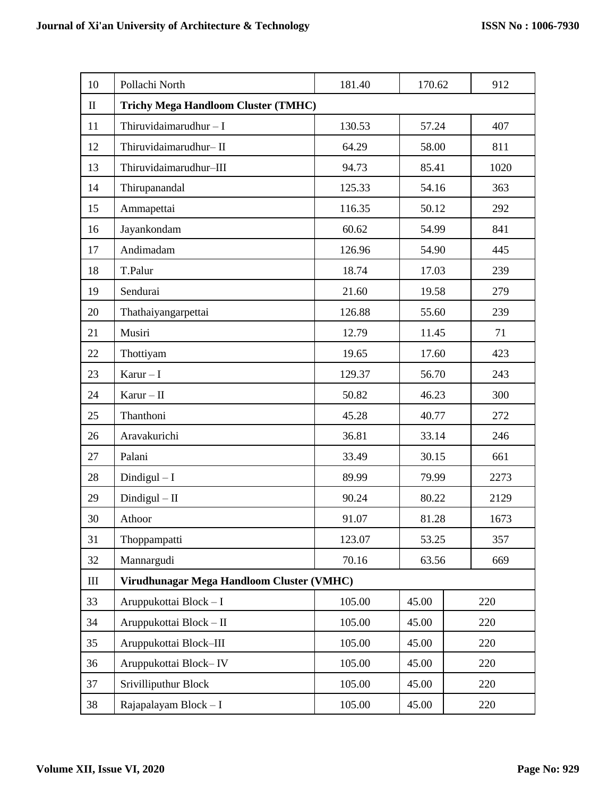| 10           | Pollachi North                             | 181.40 | 170.62 |  | 912  |  |
|--------------|--------------------------------------------|--------|--------|--|------|--|
| $\mathbf{I}$ | <b>Trichy Mega Handloom Cluster (TMHC)</b> |        |        |  |      |  |
| 11           | Thiruvidaimarudhur $-I$                    | 130.53 | 57.24  |  | 407  |  |
| 12           | Thiruvidaimarudhur-II                      | 64.29  | 58.00  |  | 811  |  |
| 13           | Thiruvidaimarudhur-III                     | 94.73  | 85.41  |  | 1020 |  |
| 14           | Thirupanandal                              | 125.33 | 54.16  |  | 363  |  |
| 15           | Ammapettai                                 | 116.35 | 50.12  |  | 292  |  |
| 16           | Jayankondam                                | 60.62  | 54.99  |  | 841  |  |
| 17           | Andimadam                                  | 126.96 | 54.90  |  | 445  |  |
| 18           | T.Palur                                    | 18.74  | 17.03  |  | 239  |  |
| 19           | Sendurai                                   | 21.60  | 19.58  |  | 279  |  |
| 20           | Thathaiyangarpettai                        | 126.88 | 55.60  |  | 239  |  |
| 21           | Musiri                                     | 12.79  | 11.45  |  | 71   |  |
| 22           | Thottiyam                                  | 19.65  | 17.60  |  | 423  |  |
| 23           | $Karur-I$                                  | 129.37 | 56.70  |  | 243  |  |
| 24           | $Karur - II$                               | 50.82  | 46.23  |  | 300  |  |
| 25           | Thanthoni                                  | 45.28  | 40.77  |  | 272  |  |
| 26           | Aravakurichi                               | 36.81  | 33.14  |  | 246  |  |
| 27           | Palani                                     | 33.49  | 30.15  |  | 661  |  |
| 28           | $Dindigul-I$                               | 89.99  | 79.99  |  | 2273 |  |
| 29           | $Dindigul - II$                            | 90.24  | 80.22  |  | 2129 |  |
| 30           | Athoor                                     | 91.07  | 81.28  |  | 1673 |  |
| 31           | Thoppampatti                               | 123.07 | 53.25  |  | 357  |  |
| 32           | Mannargudi                                 | 70.16  | 63.56  |  | 669  |  |
| $\rm III$    | Virudhunagar Mega Handloom Cluster (VMHC)  |        |        |  |      |  |
| 33           | Aruppukottai Block - I                     | 105.00 | 45.00  |  | 220  |  |
| 34           | Aruppukottai Block - II                    | 105.00 | 45.00  |  | 220  |  |
| 35           | Aruppukottai Block-III                     | 105.00 | 45.00  |  | 220  |  |
| 36           | Aruppukottai Block-IV                      | 105.00 | 45.00  |  | 220  |  |
| 37           | Srivilliputhur Block                       | 105.00 | 45.00  |  | 220  |  |
| 38           | Rajapalayam Block - I                      | 105.00 | 45.00  |  | 220  |  |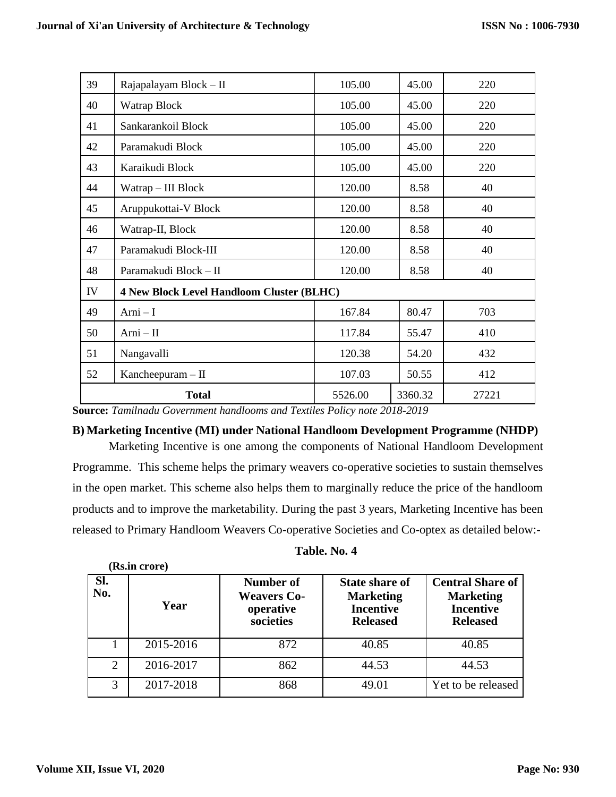| 39 | Rajapalayam Block - II                           | 105.00  | 45.00   | 220   |
|----|--------------------------------------------------|---------|---------|-------|
| 40 | Watrap Block                                     | 105.00  | 45.00   | 220   |
| 41 | Sankarankoil Block                               | 105.00  | 45.00   | 220   |
| 42 | Paramakudi Block                                 | 105.00  | 45.00   | 220   |
| 43 | Karaikudi Block                                  | 105.00  | 45.00   | 220   |
| 44 | Watrap - III Block                               | 120.00  | 8.58    | 40    |
| 45 | Aruppukottai-V Block                             | 120.00  | 8.58    | 40    |
| 46 | Watrap-II, Block                                 | 120.00  | 8.58    | 40    |
| 47 | Paramakudi Block-III                             | 120.00  | 8.58    | 40    |
| 48 | Paramakudi Block - II                            | 120.00  | 8.58    | 40    |
| IV | <b>4 New Block Level Handloom Cluster (BLHC)</b> |         |         |       |
| 49 | $Arni-I$                                         | 167.84  | 80.47   | 703   |
| 50 | $Arni - II$                                      | 117.84  | 55.47   | 410   |
| 51 | Nangavalli                                       | 120.38  | 54.20   | 432   |
| 52 | Kancheepuram $-$ II                              | 107.03  | 50.55   | 412   |
|    | <b>Total</b>                                     | 5526.00 | 3360.32 | 27221 |

**Source:** *Tamilnadu Government handlooms and Textiles Policy note 2018-2019*

## **B) Marketing Incentive (MI) under National Handloom Development Programme (NHDP)**

Marketing Incentive is one among the components of National Handloom Development Programme. This scheme helps the primary weavers co-operative societies to sustain themselves in the open market. This scheme also helps them to marginally reduce the price of the handloom products and to improve the marketability. During the past 3 years, Marketing Incentive has been released to Primary Handloom Weavers Co-operative Societies and Co-optex as detailed below:-

| Table. No. 4 |  |  |
|--------------|--|--|
|--------------|--|--|

| Sl.<br>No.     | Year      | Number of<br><b>Weavers Co-</b><br>operative<br>societies | <b>State share of</b><br><b>Marketing</b><br><b>Incentive</b><br><b>Released</b> | <b>Central Share of</b><br><b>Marketing</b><br><b>Incentive</b><br><b>Released</b> |
|----------------|-----------|-----------------------------------------------------------|----------------------------------------------------------------------------------|------------------------------------------------------------------------------------|
|                | 2015-2016 | 872                                                       | 40.85                                                                            | 40.85                                                                              |
| $\overline{2}$ | 2016-2017 | 862                                                       | 44.53                                                                            | 44.53                                                                              |
| 3              | 2017-2018 | 868                                                       | 49.01                                                                            | Yet to be released                                                                 |

**(Rs.in crore)**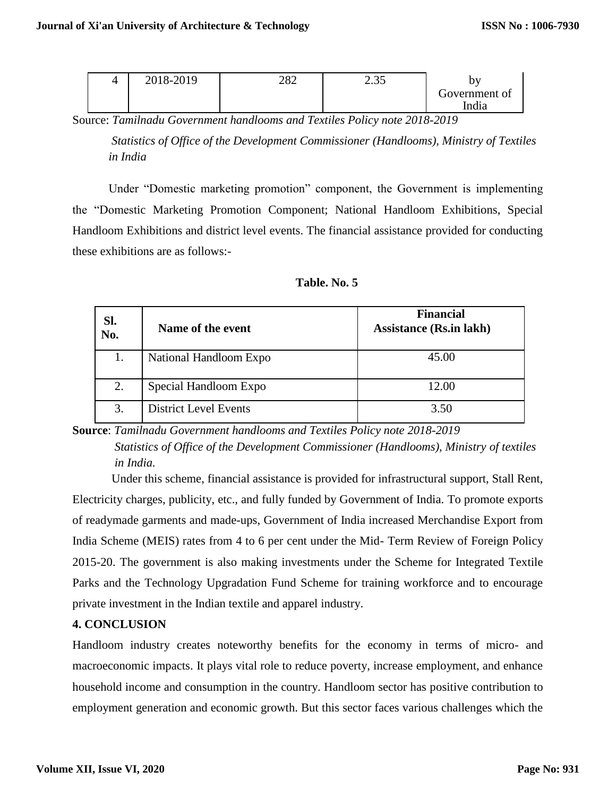| 4 | 2018-2019 | ററ<br>∠o∠ | ر. ر. ر | <b>SATT</b>            |
|---|-----------|-----------|---------|------------------------|
|   |           |           |         | Government of<br>India |

Source: *Tamilnadu Government handlooms and Textiles Policy note 2018-2019* 

*Statistics of Office of the Development Commissioner (Handlooms), Ministry of Textiles in India*

Under "Domestic marketing promotion" component, the Government is implementing the "Domestic Marketing Promotion Component; National Handloom Exhibitions, Special Handloom Exhibitions and district level events. The financial assistance provided for conducting these exhibitions are as follows:-

| Sl.<br>No.<br>Name of the event |                              | <b>Financial</b><br><b>Assistance (Rs.in lakh)</b> |
|---------------------------------|------------------------------|----------------------------------------------------|
| 1.                              | National Handloom Expo       | 45.00                                              |
| 2.                              | Special Handloom Expo        | 12.00                                              |
| 3.                              | <b>District Level Events</b> | 3.50                                               |

**Source**: *Tamilnadu Government handlooms and Textiles Policy note 2018-2019*

 *Statistics of Office of the Development Commissioner (Handlooms), Ministry of textiles in India.*

Under this scheme, financial assistance is provided for infrastructural support, Stall Rent, Electricity charges, publicity, etc., and fully funded by Government of India. To promote exports of readymade garments and made-ups, Government of India increased Merchandise Export from India Scheme (MEIS) rates from 4 to 6 per cent under the Mid- Term Review of Foreign Policy 2015-20. The government is also making investments under the Scheme for Integrated Textile Parks and the Technology Upgradation Fund Scheme for training workforce and to encourage private investment in the Indian textile and apparel industry.

## **4. CONCLUSION**

Handloom industry creates noteworthy benefits for the economy in terms of micro- and macroeconomic impacts. It plays vital role to reduce poverty, increase employment, and enhance household income and consumption in the country. Handloom sector has positive contribution to employment generation and economic growth. But this sector faces various challenges which the